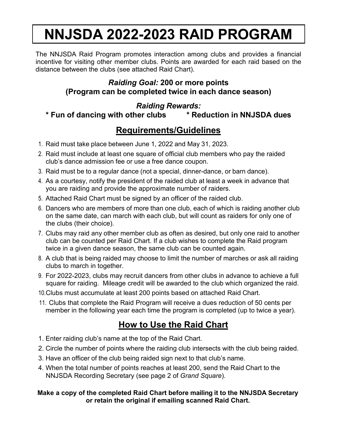# **NNJSDA 2022-2023 RAID PROGRAM**

The NNJSDA Raid Program promotes interaction among clubs and provides a financial incentive for visiting other member clubs. Points are awarded for each raid based on the distance between the clubs (see attached Raid Chart).

## *Raiding Goal:* **200 or more points (Program can be completed twice in each dance season)**

### *Raiding Rewards:*

**\* Fun of dancing with other clubs \* Reduction in NNJSDA dues**

## **Requirements/Guidelines**

- 1. Raid must take place between June 1, 2022 and May 31, 2023.
- 2. Raid must include at least one square of official club members who pay the raided club's dance admission fee or use a free dance coupon.
- 3. Raid must be to a regular dance (not a special, dinner-dance, or barn dance).
- 4. As a courtesy, notify the president of the raided club at least a week in advance that you are raiding and provide the approximate number of raiders.
- 5. Attached Raid Chart must be signed by an officer of the raided club.
- 6. Dancers who are members of more than one club, each of which is raiding another club on the same date, can march with each club, but will count as raiders for only one of the clubs (their choice).
- 7. Clubs may raid any other member club as often as desired, but only one raid to another club can be counted per Raid Chart. If a club wishes to complete the Raid program twice in a given dance season, the same club can be counted again.
- 8. A club that is being raided may choose to limit the number of marches or ask all raiding clubs to march in together.
- 9. For 2022-2023, clubs may recruit dancers from other clubs in advance to achieve a full square for raiding. Mileage credit will be awarded to the club which organized the raid.
- 10.Clubs must accumulate at least 200 points based on attached Raid Chart.
- 11. Clubs that complete the Raid Program will receive a dues reduction of 50 cents per member in the following year each time the program is completed (up to twice a year).

## **How to Use the Raid Chart**

- 1. Enter raiding club's name at the top of the Raid Chart.
- 2. Circle the number of points where the raiding club intersects with the club being raided.
- 3. Have an officer of the club being raided sign next to that club's name.
- 4. When the total number of points reaches at least 200, send the Raid Chart to the NNJSDA Recording Secretary (see page 2 of *Grand Square*).

#### **Make a copy of the completed Raid Chart before mailing it to the NNJSDA Secretary or retain the original if emailing scanned Raid Chart.**